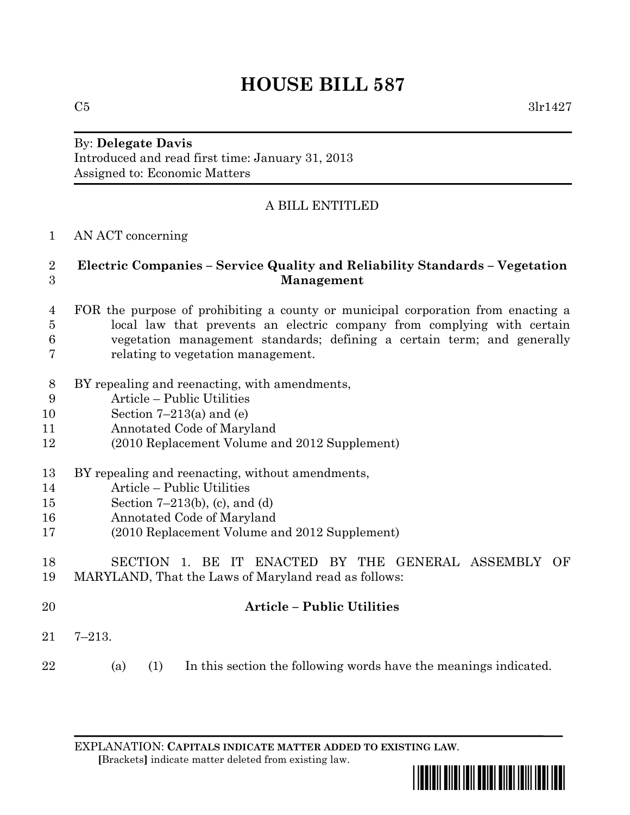# **HOUSE BILL 587**

 $C5$  3lr1427

## By: **Delegate Davis** Introduced and read first time: January 31, 2013

Assigned to: Economic Matters

## A BILL ENTITLED

### AN ACT concerning

#### **Electric Companies – Service Quality and Reliability Standards – Vegetation Management**

#### FOR the purpose of prohibiting a county or municipal corporation from enacting a local law that prevents an electric company from complying with certain vegetation management standards; defining a certain term; and generally relating to vegetation management.

- BY repealing and reenacting, with amendments,
- Article Public Utilities
- Section 7–213(a) and (e)
- Annotated Code of Maryland
- (2010 Replacement Volume and 2012 Supplement)
- BY repealing and reenacting, without amendments,
- Article Public Utilities
- Section 7–213(b), (c), and (d)
- Annotated Code of Maryland
- (2010 Replacement Volume and 2012 Supplement)
- SECTION 1. BE IT ENACTED BY THE GENERAL ASSEMBLY OF MARYLAND, That the Laws of Maryland read as follows:
- **Article – Public Utilities**
- 7–213.
- (a) (1) In this section the following words have the meanings indicated.

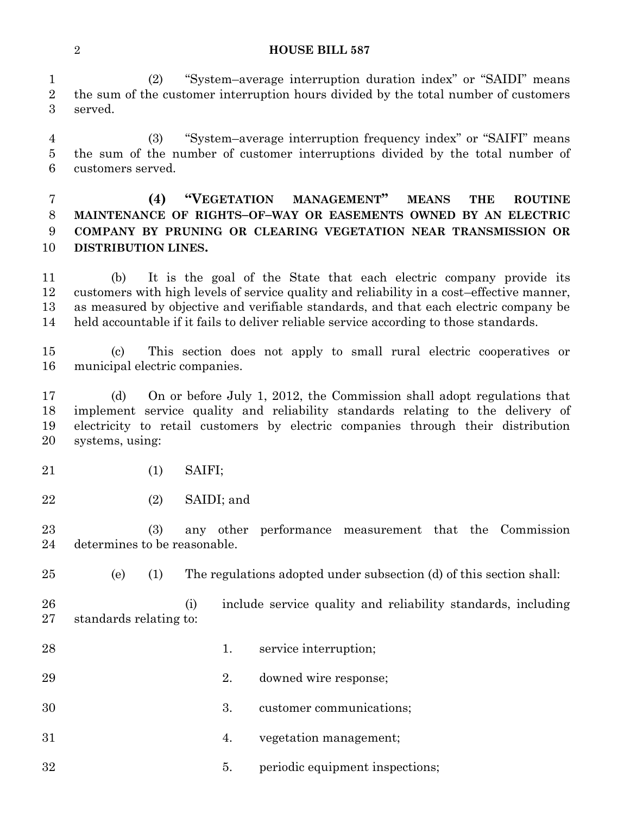#### **HOUSE BILL 587**

 (2) "System–average interruption duration index" or "SAIDI" means the sum of the customer interruption hours divided by the total number of customers served.

 (3) "System–average interruption frequency index" or "SAIFI" means the sum of the number of customer interruptions divided by the total number of customers served.

#### **(4) "VEGETATION MANAGEMENT" MEANS THE ROUTINE MAINTENANCE OF RIGHTS–OF–WAY OR EASEMENTS OWNED BY AN ELECTRIC COMPANY BY PRUNING OR CLEARING VEGETATION NEAR TRANSMISSION OR DISTRIBUTION LINES.**

 (b) It is the goal of the State that each electric company provide its customers with high levels of service quality and reliability in a cost–effective manner, as measured by objective and verifiable standards, and that each electric company be held accountable if it fails to deliver reliable service according to those standards.

 (c) This section does not apply to small rural electric cooperatives or municipal electric companies.

 (d) On or before July 1, 2012, the Commission shall adopt regulations that implement service quality and reliability standards relating to the delivery of electricity to retail customers by electric companies through their distribution systems, using:

- (1) SAIFI;
- (2) SAIDI; and

 (3) any other performance measurement that the Commission determines to be reasonable.

(e) (1) The regulations adopted under subsection (d) of this section shall:

 (i) include service quality and reliability standards, including standards relating to:

- 28 1. service interruption;
- 2. downed wire response;
- 3. customer communications;
- 4. vegetation management;
- 5. periodic equipment inspections;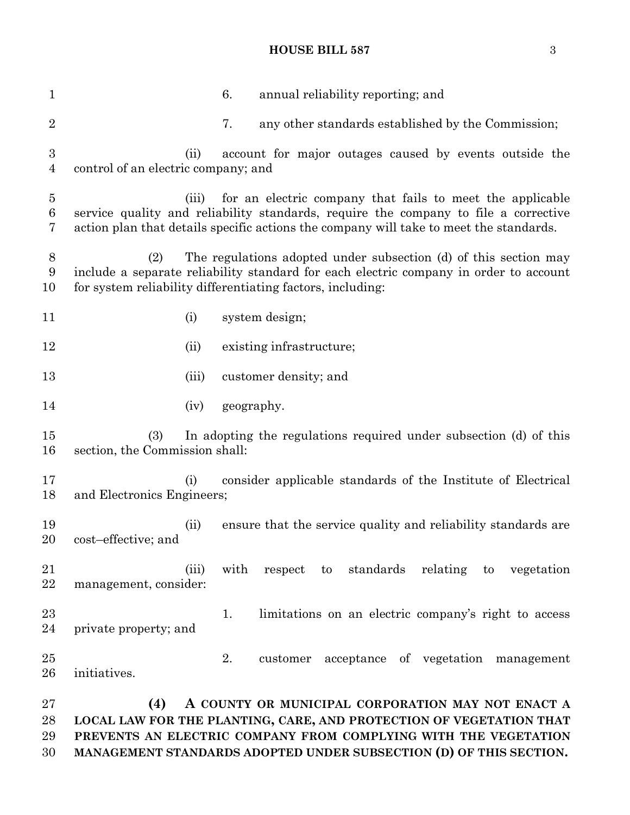#### **HOUSE BILL 587** 3

 6. annual reliability reporting; and 2 2 7. any other standards established by the Commission; (ii) account for major outages caused by events outside the control of an electric company; and (iii) for an electric company that fails to meet the applicable service quality and reliability standards, require the company to file a corrective action plan that details specific actions the company will take to meet the standards. (2) The regulations adopted under subsection (d) of this section may include a separate reliability standard for each electric company in order to account for system reliability differentiating factors, including: 11 (i) system design; 12 (ii) existing infrastructure; 13 (iii) customer density; and 14 (iv) geography. (3) In adopting the regulations required under subsection (d) of this section, the Commission shall: (i) consider applicable standards of the Institute of Electrical and Electronics Engineers; (ii) ensure that the service quality and reliability standards are cost–effective; and (iii) with respect to standards relating to vegetation management, consider: 23 1. limitations on an electric company's right to access private property; and 2. customer acceptance of vegetation management initiatives. **(4) A COUNTY OR MUNICIPAL CORPORATION MAY NOT ENACT A LOCAL LAW FOR THE PLANTING, CARE, AND PROTECTION OF VEGETATION THAT PREVENTS AN ELECTRIC COMPANY FROM COMPLYING WITH THE VEGETATION** 

**MANAGEMENT STANDARDS ADOPTED UNDER SUBSECTION (D) OF THIS SECTION.**